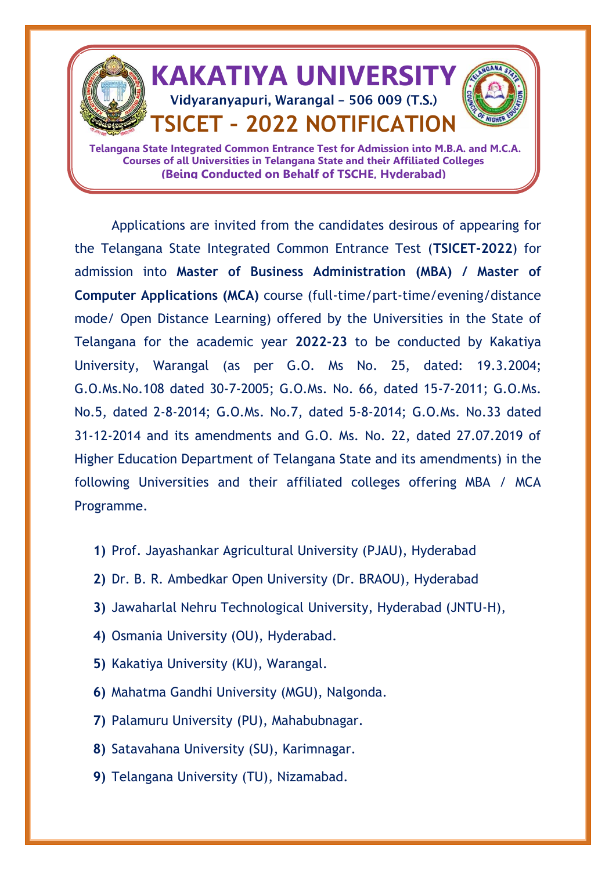

Applications are invited from the candidates desirous of appearing for the Telangana State Integrated Common Entrance Test (**TSICET-2022**) for admission into **Master of Business Administration (MBA) / Master of Computer Applications (MCA)** course (full-time/part-time/evening/distance mode/ Open Distance Learning) offered by the Universities in the State of Telangana for the academic year **2022-23** to be conducted by Kakatiya University, Warangal (as per G.O. Ms No. 25, dated: 19.3.2004; G.O.Ms.No.108 dated 30-7-2005; G.O.Ms. No. 66, dated 15-7-2011; G.O.Ms. No.5, dated 2-8-2014; G.O.Ms. No.7, dated 5-8-2014; G.O.Ms. No.33 dated 31-12-2014 and its amendments and G.O. Ms. No. 22, dated 27.07.2019 of Higher Education Department of Telangana State and its amendments) in the following Universities and their affiliated colleges offering MBA / MCA Programme.

- **1)** Prof. Jayashankar Agricultural University (PJAU), Hyderabad
- **2)** Dr. B. R. Ambedkar Open University (Dr. BRAOU), Hyderabad
- **3)** Jawaharlal Nehru Technological University, Hyderabad (JNTU-H),
- **4)** Osmania University (OU), Hyderabad.
- **5)** Kakatiya University (KU), Warangal.
- **6)** Mahatma Gandhi University (MGU), Nalgonda.
- **7)** Palamuru University (PU), Mahabubnagar.
- **8)** Satavahana University (SU), Karimnagar.
- **9)** Telangana University (TU), Nizamabad.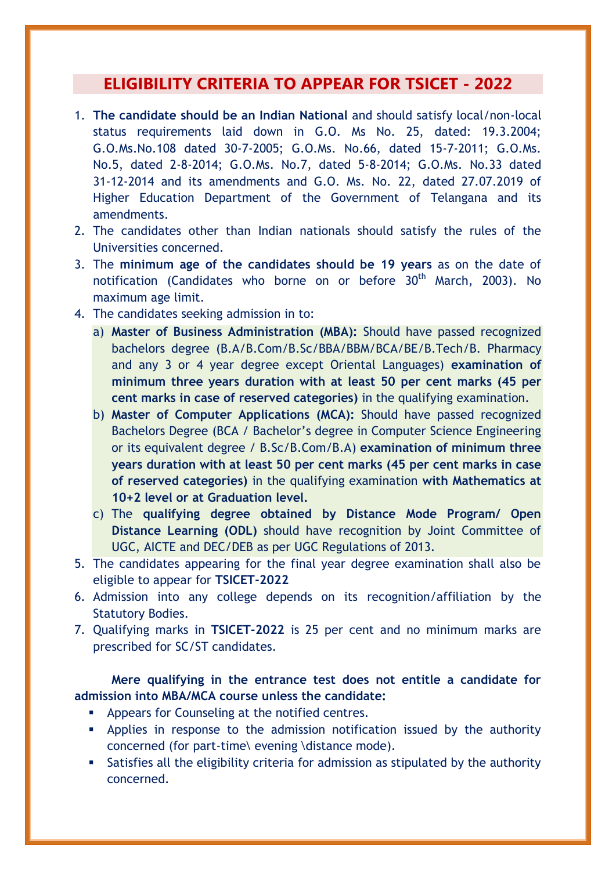## **ELIGIBILITY CRITERIA TO APPEAR FOR TSICET - 2022**

- 1. **The candidate should be an Indian National** and should satisfy local/non-local status requirements laid down in G.O. Ms No. 25, dated: 19.3.2004; G.O.Ms.No.108 dated 30-7-2005; G.O.Ms. No.66, dated 15-7-2011; G.O.Ms. No.5, dated 2-8-2014; G.O.Ms. No.7, dated 5-8-2014; G.O.Ms. No.33 dated 31-12-2014 and its amendments and G.O. Ms. No. 22, dated 27.07.2019 of Higher Education Department of the Government of Telangana and its amendments.
- 2. The candidates other than Indian nationals should satisfy the rules of the Universities concerned.
- 3. The **minimum age of the candidates should be 19 years** as on the date of notification (Candidates who borne on or before  $30<sup>th</sup>$  March, 2003). No maximum age limit.
- 4. The candidates seeking admission in to:
	- a) **Master of Business Administration (MBA):** Should have passed recognized bachelors degree (B.A/B.Com/B.Sc/BBA/BBM/BCA/BE/B.Tech/B. Pharmacy and any 3 or 4 year degree except Oriental Languages) **examination of minimum three years duration with at least 50 per cent marks (45 per cent marks in case of reserved categories)** in the qualifying examination.
	- b) **Master of Computer Applications (MCA):** Should have passed recognized Bachelors Degree (BCA / Bachelor's degree in Computer Science Engineering or its equivalent degree / B.Sc/B.Com/B.A) **examination of minimum three years duration with at least 50 per cent marks (45 per cent marks in case of reserved categories)** in the qualifying examination **with Mathematics at 10+2 level or at Graduation level.**
	- c) The **qualifying degree obtained by Distance Mode Program/ Open Distance Learning (ODL)** should have recognition by Joint Committee of UGC, AICTE and DEC/DEB as per UGC Regulations of 2013.
- 5. The candidates appearing for the final year degree examination shall also be eligible to appear for **TSICET-2022**
- 6. Admission into any college depends on its recognition/affiliation by the Statutory Bodies.
- 7. Qualifying marks in **TSICET-2022** is 25 per cent and no minimum marks are prescribed for SC/ST candidates.

### **Mere qualifying in the entrance test does not entitle a candidate for admission into MBA/MCA course unless the candidate:**

- Appears for Counseling at the notified centres.
- Applies in response to the admission notification issued by the authority concerned (for part-time\ evening \distance mode).
- Satisfies all the eligibility criteria for admission as stipulated by the authority concerned.